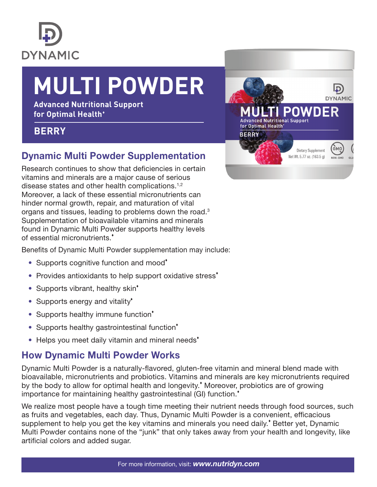

# **MULTI POWDER**

**Advanced Nutritional Support for Optimal Health**

#### **BERRY**

### Dynamic Multi Powder Supplementation

Research continues to show that deficiencies in certain vitamins and minerals are a major cause of serious disease states and other health complications.<sup>1,2</sup> Moreover, a lack of these essential micronutrients can hinder normal growth, repair, and maturation of vital organs and tissues, leading to problems down the road.3 Supplementation of bioavailable vitamins and minerals found in Dynamic Multi Powder supports healthy levels of essential micronutrients.

Benefits of Dynamic Multi Powder supplementation may include:

- Supports cognitive function and mood<sup>\*</sup>
- Provides antioxidants to help support oxidative stress<sup>\*</sup>
- Supports vibrant, healthy skin<sup>\*</sup>
- Supports energy and vitality<sup>\*</sup>
- Supports healthy immune function<sup>\*</sup>
- Supports healthy gastrointestinal function<sup>\*</sup>
- Helps you meet daily vitamin and mineral needs<sup>\*</sup>

#### How Dynamic Multi Powder Works

Dynamic Multi Powder is a naturally-flavored, gluten-free vitamin and mineral blend made with bioavailable, micronutrients and probiotics. Vitamins and minerals are key micronutrients required by the body to allow for optimal health and longevity. Moreover, probiotics are of growing importance for maintaining healthy gastrointestinal (GI) function.<sup>\*</sup>

We realize most people have a tough time meeting their nutrient needs through food sources, such as fruits and vegetables, each day. Thus, Dynamic Multi Powder is a convenient, efficacious supplement to help you get the key vitamins and minerals you need daily.<sup>\*</sup> Better yet, Dynamic Multi Powder contains none of the "junk" that only takes away from your health and longevity, like artificial colors and added sugar.